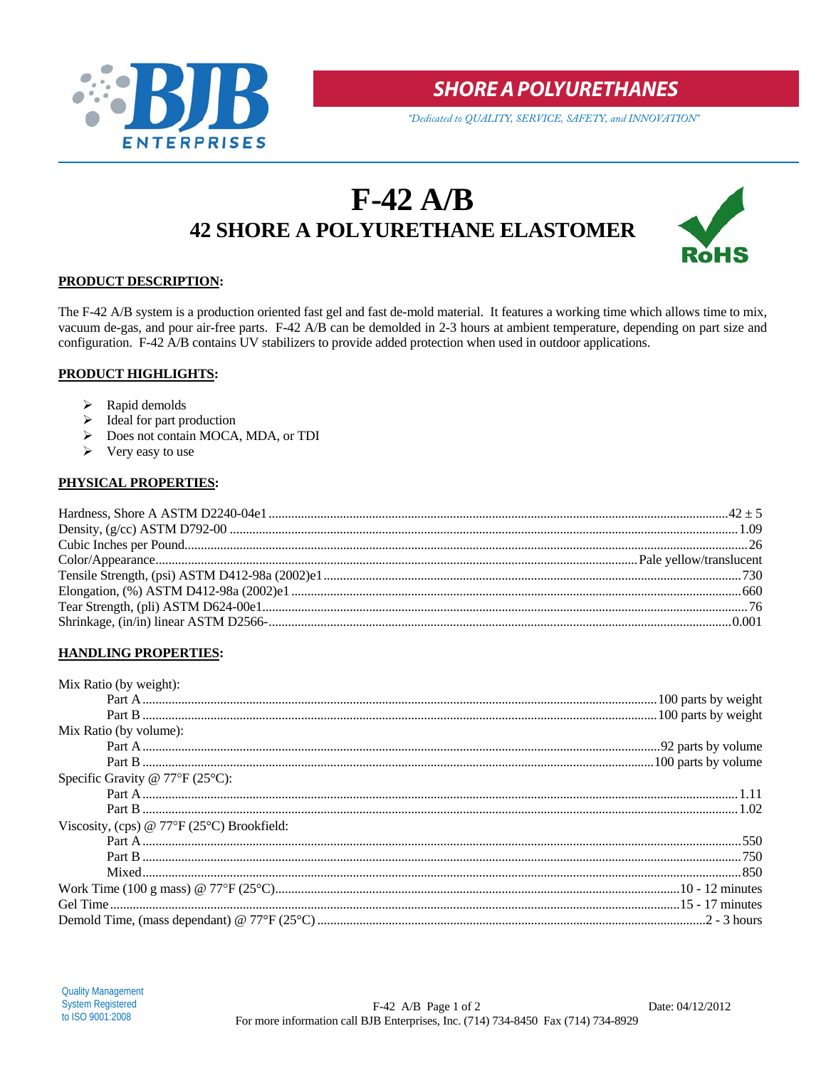

**SHORE A POLYURETHANES** 

"Dedicated to QUALITY, SERVICE, SAFETY, and INNOVATION"

# $F-42$  A/B **42 SHORE A POLYURETHANE ELASTOMER**



## PRODUCT DESCRIPTION:

The F-42 A/B system is a production oriented fast gel and fast de-mold material. It features a working time which allows time to mix, vacuum de-gas, and pour air-free parts. F-42 A/B can be demolded in 2-3 hours at ambient temperature, depending on part size and configuration. F-42 A/B contains UV stabilizers to provide added protection when used in outdoor applications.

## **PRODUCT HIGHLIGHTS:**

- $\triangleright$  Rapid demolds
- $\triangleright$  Ideal for part production
- > Does not contain MOCA, MDA, or TDI
- $\triangleright$  Very easy to use

## PHYSICAL PROPERTIES:

## **HANDLING PROPERTIES:**

| Mix Ratio (by weight):                                    |  |
|-----------------------------------------------------------|--|
|                                                           |  |
|                                                           |  |
| Mix Ratio (by volume):                                    |  |
|                                                           |  |
|                                                           |  |
| Specific Gravity @ $77^{\circ}F(25^{\circ}C)$ :           |  |
|                                                           |  |
|                                                           |  |
| Viscosity, (cps) @ $77^{\circ}F(25^{\circ}C)$ Brookfield: |  |
|                                                           |  |
|                                                           |  |
|                                                           |  |
|                                                           |  |
|                                                           |  |
|                                                           |  |